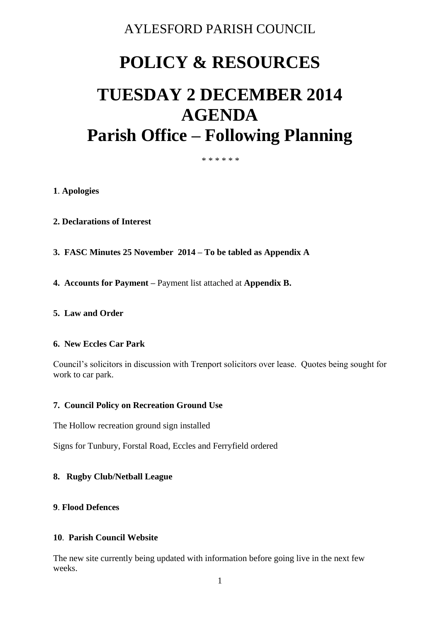# AYLESFORD PARISH COUNCIL

# **POLICY & RESOURCES**

# **TUESDAY 2 DECEMBER 2014 AGENDA Parish Office – Following Planning**

\* \* \* \* \* \*

#### **1**. **Apologies**

- **2. Declarations of Interest**
- **3. FASC Minutes 25 November 2014 – To be tabled as Appendix A**
- **4. Accounts for Payment –** Payment list attached at **Appendix B.**

#### **5. Law and Order**

#### **6. New Eccles Car Park**

Council's solicitors in discussion with Trenport solicitors over lease. Quotes being sought for work to car park.

#### **7. Council Policy on Recreation Ground Use**

The Hollow recreation ground sign installed

Signs for Tunbury, Forstal Road, Eccles and Ferryfield ordered

## **8. Rugby Club/Netball League**

## **9**. **Flood Defences**

#### **10**. **Parish Council Website**

The new site currently being updated with information before going live in the next few weeks.